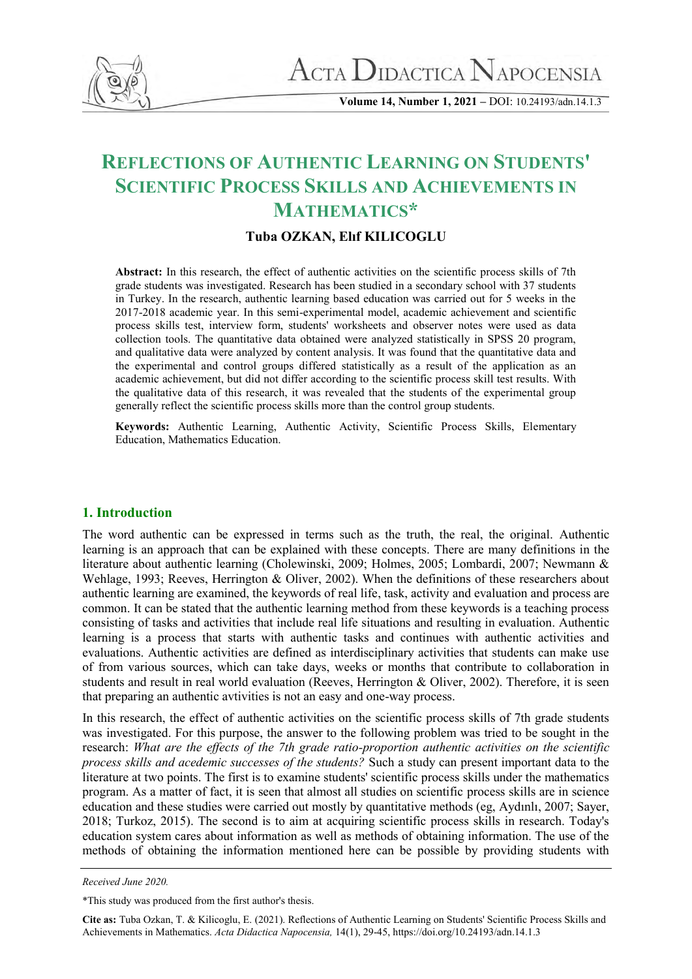

**Volume 14, Number 1, 2021 –** DOI: 10.24193/adn.14.1.3

# **REFLECTIONS OF AUTHENTIC LEARNING ON STUDENTS' SCIENTIFIC PROCESS SKILLS AND ACHIEVEMENTS IN MATHEMATICS\***

## **Tuba OZKAN, Elıf KILICOGLU**

**Abstract:** In this research, the effect of authentic activities on the scientific process skills of 7th grade students was investigated. Research has been studied in a secondary school with 37 students in Turkey. In the research, authentic learning based education was carried out for 5 weeks in the 2017-2018 academic year. In this semi-experimental model, academic achievement and scientific process skills test, interview form, students' worksheets and observer notes were used as data collection tools. The quantitative data obtained were analyzed statistically in SPSS 20 program, and qualitative data were analyzed by content analysis. It was found that the quantitative data and the experimental and control groups differed statistically as a result of the application as an academic achievement, but did not differ according to the scientific process skill test results. With the qualitative data of this research, it was revealed that the students of the experimental group generally reflect the scientific process skills more than the control group students.

**Keywords:** Authentic Learning, Authentic Activity, Scientific Process Skills, Elementary Education, Mathematics Education.

## **1. Introduction**

The word authentic can be expressed in terms such as the truth, the real, the original. Authentic learning is an approach that can be explained with these concepts. There are many definitions in the literature about authentic learning (Cholewinski, 2009; Holmes, 2005; Lombardi, 2007; Newmann & Wehlage, 1993; Reeves, Herrington & Oliver, 2002). When the definitions of these researchers about authentic learning are examined, the keywords of real life, task, activity and evaluation and process are common. It can be stated that the authentic learning method from these keywords is a teaching process consisting of tasks and activities that include real life situations and resulting in evaluation. Authentic learning is a process that starts with authentic tasks and continues with authentic activities and evaluations. Authentic activities are defined as interdisciplinary activities that students can make use of from various sources, which can take days, weeks or months that contribute to collaboration in students and result in real world evaluation (Reeves, Herrington & Oliver, 2002). Therefore, it is seen that preparing an authentic avtivities is not an easy and one-way process.

In this research, the effect of authentic activities on the scientific process skills of 7th grade students was investigated. For this purpose, the answer to the following problem was tried to be sought in the research: *What are the effects of the 7th grade ratio-proportion authentic activities on the scientific process skills and acedemic successes of the students?* Such a study can present important data to the literature at two points. The first is to examine students' scientific process skills under the mathematics program. As a matter of fact, it is seen that almost all studies on scientific process skills are in science education and these studies were carried out mostly by quantitative methods (eg, Aydınlı, 2007; Sayer, 2018; Turkoz, 2015). The second is to aim at acquiring scientific process skills in research. Today's education system cares about information as well as methods of obtaining information. The use of the methods of obtaining the information mentioned here can be possible by providing students with

**Cite as:** Tuba Ozkan, T. & Kilicoglu, E. (2021). Reflections of Authentic Learning on Students' Scientific Process Skills and Achievements in Mathematics. *Acta Didactica Napocensia,* 14(1), 29-45, https://doi.org/10.24193/adn.14.1.3

*Received June 2020.* 

<sup>\*</sup>This study was produced from the first author's thesis.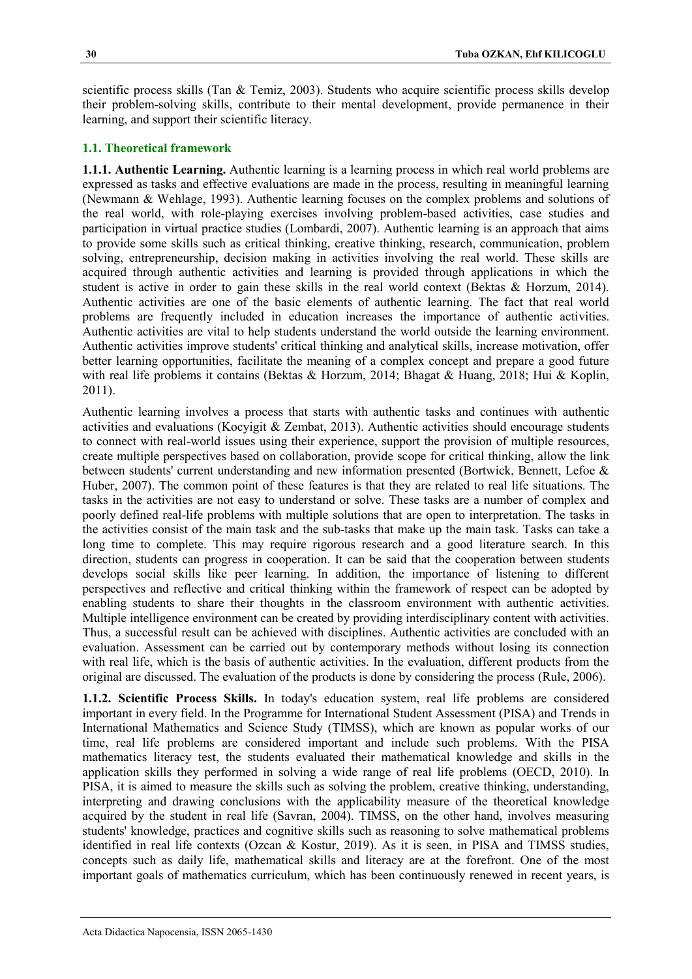scientific process skills (Tan & Temiz, 2003). Students who acquire scientific process skills develop their problem-solving skills, contribute to their mental development, provide permanence in their learning, and support their scientific literacy.

## **1.1. Theoretical framework**

**1.1.1. Authentic Learning.** Authentic learning is a learning process in which real world problems are expressed as tasks and effective evaluations are made in the process, resulting in meaningful learning (Newmann & Wehlage, 1993). Authentic learning focuses on the complex problems and solutions of the real world, with role-playing exercises involving problem-based activities, case studies and participation in virtual practice studies (Lombardi, 2007). Authentic learning is an approach that aims to provide some skills such as critical thinking, creative thinking, research, communication, problem solving, entrepreneurship, decision making in activities involving the real world. These skills are acquired through authentic activities and learning is provided through applications in which the student is active in order to gain these skills in the real world context (Bektas & Horzum, 2014). Authentic activities are one of the basic elements of authentic learning. The fact that real world problems are frequently included in education increases the importance of authentic activities. Authentic activities are vital to help students understand the world outside the learning environment. Authentic activities improve students' critical thinking and analytical skills, increase motivation, offer better learning opportunities, facilitate the meaning of a complex concept and prepare a good future with real life problems it contains (Bektas & Horzum, 2014; Bhagat & Huang, 2018; Hui & Koplin, 2011).

Authentic learning involves a process that starts with authentic tasks and continues with authentic activities and evaluations (Kocyigit & Zembat, 2013). Authentic activities should encourage students to connect with real-world issues using their experience, support the provision of multiple resources, create multiple perspectives based on collaboration, provide scope for critical thinking, allow the link between students' current understanding and new information presented (Bortwick, Bennett, Lefoe & Huber, 2007). The common point of these features is that they are related to real life situations. The tasks in the activities are not easy to understand or solve. These tasks are a number of complex and poorly defined real-life problems with multiple solutions that are open to interpretation. The tasks in the activities consist of the main task and the sub-tasks that make up the main task. Tasks can take a long time to complete. This may require rigorous research and a good literature search. In this direction, students can progress in cooperation. It can be said that the cooperation between students develops social skills like peer learning. In addition, the importance of listening to different perspectives and reflective and critical thinking within the framework of respect can be adopted by enabling students to share their thoughts in the classroom environment with authentic activities. Multiple intelligence environment can be created by providing interdisciplinary content with activities. Thus, a successful result can be achieved with disciplines. Authentic activities are concluded with an evaluation. Assessment can be carried out by contemporary methods without losing its connection with real life, which is the basis of authentic activities. In the evaluation, different products from the original are discussed. The evaluation of the products is done by considering the process (Rule, 2006).

**1.1.2. Scientific Process Skills.** In today's education system, real life problems are considered important in every field. In the Programme for International Student Assessment (PISA) and Trends in International Mathematics and Science Study (TIMSS), which are known as popular works of our time, real life problems are considered important and include such problems. With the PISA mathematics literacy test, the students evaluated their mathematical knowledge and skills in the application skills they performed in solving a wide range of real life problems (OECD, 2010). In PISA, it is aimed to measure the skills such as solving the problem, creative thinking, understanding, interpreting and drawing conclusions with the applicability measure of the theoretical knowledge acquired by the student in real life (Savran, 2004). TIMSS, on the other hand, involves measuring students' knowledge, practices and cognitive skills such as reasoning to solve mathematical problems identified in real life contexts (Ozcan & Kostur, 2019). As it is seen, in PISA and TIMSS studies, concepts such as daily life, mathematical skills and literacy are at the forefront. One of the most important goals of mathematics curriculum, which has been continuously renewed in recent years, is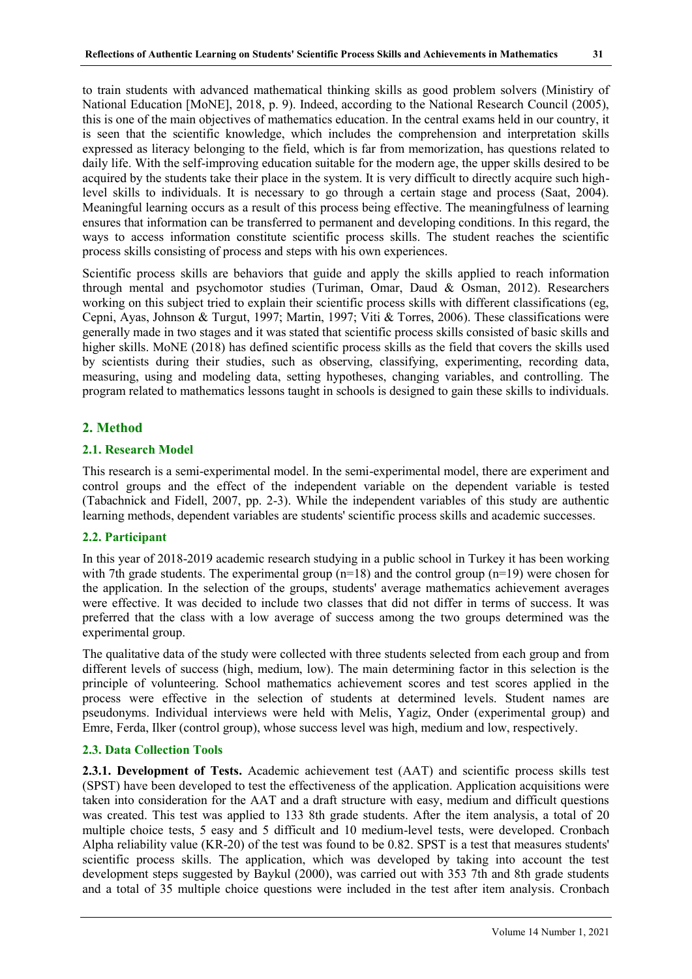to train students with advanced mathematical thinking skills as good problem solvers (Ministiry of National Education [MoNE], 2018, p. 9). Indeed, according to the National Research Council (2005), this is one of the main objectives of mathematics education. In the central exams held in our country, it is seen that the scientific knowledge, which includes the comprehension and interpretation skills expressed as literacy belonging to the field, which is far from memorization, has questions related to daily life. With the self-improving education suitable for the modern age, the upper skills desired to be acquired by the students take their place in the system. It is very difficult to directly acquire such highlevel skills to individuals. It is necessary to go through a certain stage and process (Saat, 2004). Meaningful learning occurs as a result of this process being effective. The meaningfulness of learning ensures that information can be transferred to permanent and developing conditions. In this regard, the ways to access information constitute scientific process skills. The student reaches the scientific process skills consisting of process and steps with his own experiences.

Scientific process skills are behaviors that guide and apply the skills applied to reach information through mental and psychomotor studies (Turiman, Omar, Daud & Osman, 2012). Researchers working on this subject tried to explain their scientific process skills with different classifications (eg, Cepni, Ayas, Johnson & Turgut, 1997; Martin, 1997; Viti & Torres, 2006). These classifications were generally made in two stages and it was stated that scientific process skills consisted of basic skills and higher skills. MoNE (2018) has defined scientific process skills as the field that covers the skills used by scientists during their studies, such as observing, classifying, experimenting, recording data, measuring, using and modeling data, setting hypotheses, changing variables, and controlling. The program related to mathematics lessons taught in schools is designed to gain these skills to individuals.

## **2. Method**

#### **2.1. Research Model**

This research is a semi-experimental model. In the semi-experimental model, there are experiment and control groups and the effect of the independent variable on the dependent variable is tested (Tabachnick and Fidell, 2007, pp. 2-3). While the independent variables of this study are authentic learning methods, dependent variables are students' scientific process skills and academic successes.

## **2.2. Participant**

In this year of 2018-2019 academic research studying in a public school in Turkey it has been working with 7th grade students. The experimental group  $(n=18)$  and the control group  $(n=19)$  were chosen for the application. In the selection of the groups, students' average mathematics achievement averages were effective. It was decided to include two classes that did not differ in terms of success. It was preferred that the class with a low average of success among the two groups determined was the experimental group.

The qualitative data of the study were collected with three students selected from each group and from different levels of success (high, medium, low). The main determining factor in this selection is the principle of volunteering. School mathematics achievement scores and test scores applied in the process were effective in the selection of students at determined levels. Student names are pseudonyms. Individual interviews were held with Melis, Yagiz, Onder (experimental group) and Emre, Ferda, Ilker (control group), whose success level was high, medium and low, respectively.

#### **2.3. Data Collection Tools**

**2.3.1. Development of Tests.** Academic achievement test (AAT) and scientific process skills test (SPST) have been developed to test the effectiveness of the application. Application acquisitions were taken into consideration for the AAT and a draft structure with easy, medium and difficult questions was created. This test was applied to 133 8th grade students. After the item analysis, a total of 20 multiple choice tests, 5 easy and 5 difficult and 10 medium-level tests, were developed. Cronbach Alpha reliability value (KR-20) of the test was found to be 0.82. SPST is a test that measures students' scientific process skills. The application, which was developed by taking into account the test development steps suggested by Baykul (2000), was carried out with 353 7th and 8th grade students and a total of 35 multiple choice questions were included in the test after item analysis. Cronbach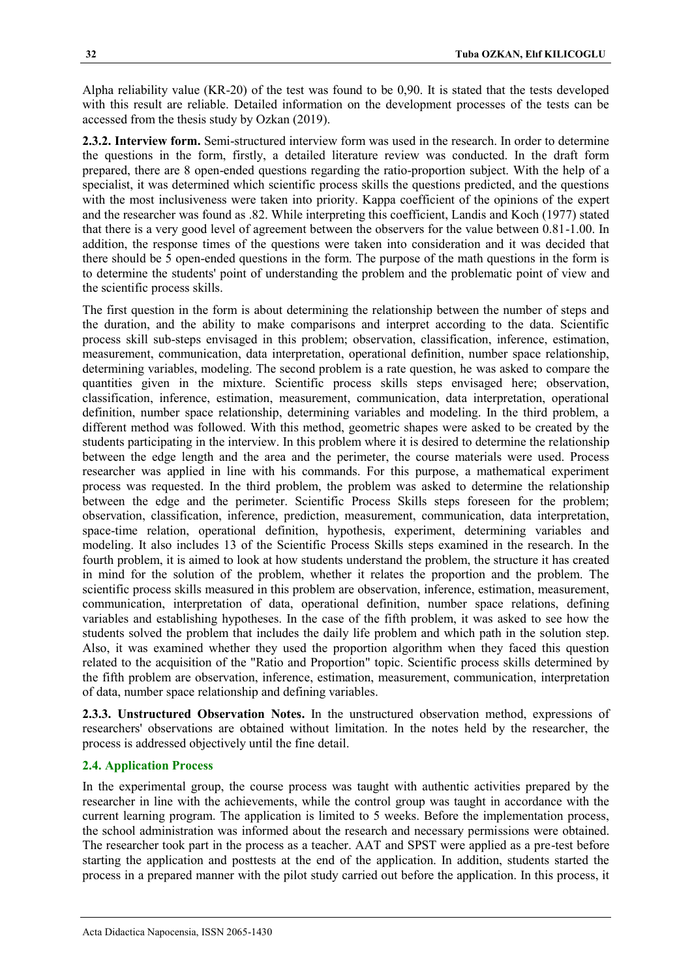Alpha reliability value (KR-20) of the test was found to be 0,90. It is stated that the tests developed with this result are reliable. Detailed information on the development processes of the tests can be accessed from the thesis study by Ozkan (2019).

**2.3.2. Interview form.** Semi-structured interview form was used in the research. In order to determine the questions in the form, firstly, a detailed literature review was conducted. In the draft form prepared, there are 8 open-ended questions regarding the ratio-proportion subject. With the help of a specialist, it was determined which scientific process skills the questions predicted, and the questions with the most inclusiveness were taken into priority. Kappa coefficient of the opinions of the expert and the researcher was found as .82. While interpreting this coefficient, Landis and Koch (1977) stated that there is a very good level of agreement between the observers for the value between 0.81-1.00. In addition, the response times of the questions were taken into consideration and it was decided that there should be 5 open-ended questions in the form. The purpose of the math questions in the form is to determine the students' point of understanding the problem and the problematic point of view and the scientific process skills.

The first question in the form is about determining the relationship between the number of steps and the duration, and the ability to make comparisons and interpret according to the data. Scientific process skill sub-steps envisaged in this problem; observation, classification, inference, estimation, measurement, communication, data interpretation, operational definition, number space relationship, determining variables, modeling. The second problem is a rate question, he was asked to compare the quantities given in the mixture. Scientific process skills steps envisaged here; observation, classification, inference, estimation, measurement, communication, data interpretation, operational definition, number space relationship, determining variables and modeling. In the third problem, a different method was followed. With this method, geometric shapes were asked to be created by the students participating in the interview. In this problem where it is desired to determine the relationship between the edge length and the area and the perimeter, the course materials were used. Process researcher was applied in line with his commands. For this purpose, a mathematical experiment process was requested. In the third problem, the problem was asked to determine the relationship between the edge and the perimeter. Scientific Process Skills steps foreseen for the problem; observation, classification, inference, prediction, measurement, communication, data interpretation, space-time relation, operational definition, hypothesis, experiment, determining variables and modeling. It also includes 13 of the Scientific Process Skills steps examined in the research. In the fourth problem, it is aimed to look at how students understand the problem, the structure it has created in mind for the solution of the problem, whether it relates the proportion and the problem. The scientific process skills measured in this problem are observation, inference, estimation, measurement, communication, interpretation of data, operational definition, number space relations, defining variables and establishing hypotheses. In the case of the fifth problem, it was asked to see how the students solved the problem that includes the daily life problem and which path in the solution step. Also, it was examined whether they used the proportion algorithm when they faced this question related to the acquisition of the "Ratio and Proportion" topic. Scientific process skills determined by the fifth problem are observation, inference, estimation, measurement, communication, interpretation of data, number space relationship and defining variables.

**2.3.3. Unstructured Observation Notes.** In the unstructured observation method, expressions of researchers' observations are obtained without limitation. In the notes held by the researcher, the process is addressed objectively until the fine detail.

#### **2.4. Application Process**

In the experimental group, the course process was taught with authentic activities prepared by the researcher in line with the achievements, while the control group was taught in accordance with the current learning program. The application is limited to 5 weeks. Before the implementation process, the school administration was informed about the research and necessary permissions were obtained. The researcher took part in the process as a teacher. AAT and SPST were applied as a pre-test before starting the application and posttests at the end of the application. In addition, students started the process in a prepared manner with the pilot study carried out before the application. In this process, it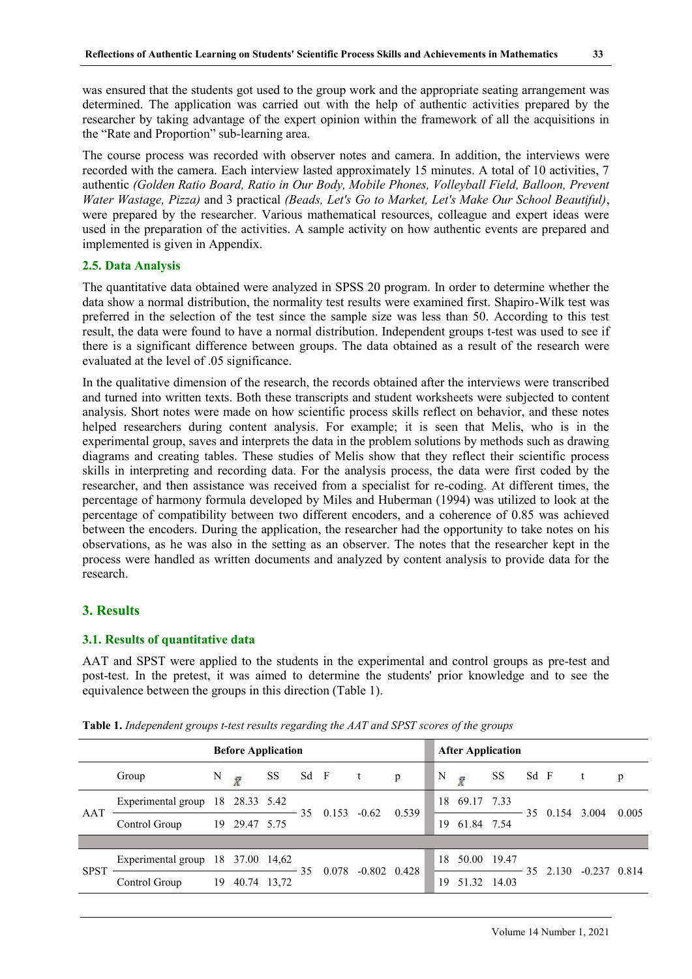was ensured that the students got used to the group work and the appropriate seating arrangement was determined. The application was carried out with the help of authentic activities prepared by the researcher by taking advantage of the expert opinion within the framework of all the acquisitions in the "Rate and Proportion" sub-learning area.

The course process was recorded with observer notes and camera. In addition, the interviews were recorded with the camera. Each interview lasted approximately 15 minutes. A total of 10 activities, 7 authentic *(Golden Ratio Board, Ratio in Our Body, Mobile Phones, Volleyball Field, Balloon, Prevent Water Wastage, Pizza)* and 3 practical *(Beads, Let's Go to Market, Let's Make Our School Beautiful)*, were prepared by the researcher. Various mathematical resources, colleague and expert ideas were used in the preparation of the activities. A sample activity on how authentic events are prepared and implemented is given in Appendix.

## **2.5. Data Analysis**

The quantitative data obtained were analyzed in SPSS 20 program. In order to determine whether the data show a normal distribution, the normality test results were examined first. Shapiro-Wilk test was preferred in the selection of the test since the sample size was less than 50. According to this test result, the data were found to have a normal distribution. Independent groups t-test was used to see if there is a significant difference between groups. The data obtained as a result of the research were evaluated at the level of .05 significance.

In the qualitative dimension of the research, the records obtained after the interviews were transcribed and turned into written texts. Both these transcripts and student worksheets were subjected to content analysis. Short notes were made on how scientific process skills reflect on behavior, and these notes helped researchers during content analysis. For example; it is seen that Melis, who is in the experimental group, saves and interprets the data in the problem solutions by methods such as drawing diagrams and creating tables. These studies of Melis show that they reflect their scientific process skills in interpreting and recording data. For the analysis process, the data were first coded by the researcher, and then assistance was received from a specialist for re-coding. At different times, the percentage of harmony formula developed by Miles and Huberman (1994) was utilized to look at the percentage of compatibility between two different encoders, and a coherence of 0.85 was achieved between the encoders. During the application, the researcher had the opportunity to take notes on his observations, as he was also in the setting as an observer. The notes that the researcher kept in the process were handled as written documents and analyzed by content analysis to provide data for the research.

## **3. Results**

## **3.1. Results of quantitative data**

AAT and SPST were applied to the students in the experimental and control groups as pre-test and post-test. In the pretest, it was aimed to determine the students' prior knowledge and to see the equivalence between the groups in this direction (Table 1).

|             |                                   | <b>Before Application</b> |               |    |      |              | <b>After Application</b> |       |    |           |            |             |      |          |                  |       |
|-------------|-----------------------------------|---------------------------|---------------|----|------|--------------|--------------------------|-------|----|-----------|------------|-------------|------|----------|------------------|-------|
|             | Group                             | N                         | $\bar{X}$     | SS | Sd F | $\mathbf{t}$ |                          | p     | N  | $\bar{X}$ |            | SS          | Sd F | $-t$     |                  | p     |
| AAT         | Experimental group 18 28.33 5.42  |                           |               |    | 35.  | 0.153        | $-0.62$                  | 0.539 | 18 |           | 69.17 7.33 |             |      | 35 0.154 | 3.004            | 0.005 |
|             | Control Group                     |                           | 19 29.47 5.75 |    |      |              |                          |       | 19 |           | 61.84 7.54 |             |      |          |                  |       |
|             |                                   |                           |               |    |      |              |                          |       |    |           |            |             |      |          |                  |       |
| <b>SPST</b> | Experimental group 18 37.00 14,62 |                           |               |    | 35   | 0.078        | $-0.802$ 0.428           |       | 18 |           |            | 50.00 19.47 |      | 35 2.130 | $-0.237$ $0.814$ |       |
|             | Control Group                     | 19                        | 40.74 13,72   |    |      |              |                          |       | 19 |           |            | 51.32 14.03 |      |          |                  |       |

**Table 1.** *Independent groups t-test results regarding the AAT and SPST scores of the groups*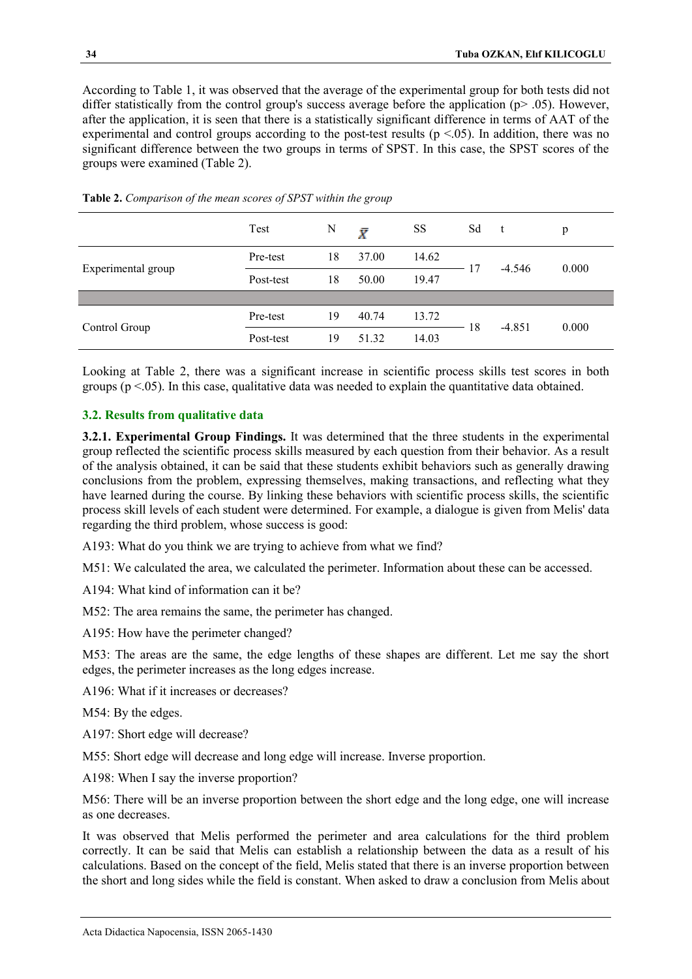According to Table 1, it was observed that the average of the experimental group for both tests did not differ statistically from the control group's success average before the application (p> .05). However, after the application, it is seen that there is a statistically significant difference in terms of AAT of the experimental and control groups according to the post-test results ( $p < 0.05$ ). In addition, there was no significant difference between the two groups in terms of SPST. In this case, the SPST scores of the groups were examined (Table 2).

|                    | Test      | N  | Ī     | SS    | Sd | t        | p     |  |
|--------------------|-----------|----|-------|-------|----|----------|-------|--|
|                    | Pre-test  | 18 | 37.00 | 14.62 | 17 | $-4.546$ | 0.000 |  |
| Experimental group | Post-test | 18 | 50.00 | 19.47 |    |          |       |  |
|                    |           |    |       |       |    |          |       |  |
| Control Group      | Pre-test  | 19 | 40.74 | 13.72 | 18 | $-4.851$ | 0.000 |  |
|                    | Post-test | 19 | 51.32 | 14.03 |    |          |       |  |

**Table 2.** *Comparison of the mean scores of SPST within the group*

Looking at Table 2, there was a significant increase in scientific process skills test scores in both groups ( $p < .05$ ). In this case, qualitative data was needed to explain the quantitative data obtained.

## **3.2. Results from qualitative data**

**3.2.1. Experimental Group Findings.** It was determined that the three students in the experimental group reflected the scientific process skills measured by each question from their behavior. As a result of the analysis obtained, it can be said that these students exhibit behaviors such as generally drawing conclusions from the problem, expressing themselves, making transactions, and reflecting what they have learned during the course. By linking these behaviors with scientific process skills, the scientific process skill levels of each student were determined. For example, a dialogue is given from Melis' data regarding the third problem, whose success is good:

A193: What do you think we are trying to achieve from what we find?

M51: We calculated the area, we calculated the perimeter. Information about these can be accessed.

A194: What kind of information can it be?

M52: The area remains the same, the perimeter has changed.

A195: How have the perimeter changed?

M53: The areas are the same, the edge lengths of these shapes are different. Let me say the short edges, the perimeter increases as the long edges increase.

A196: What if it increases or decreases?

M54: By the edges.

A197: Short edge will decrease?

M55: Short edge will decrease and long edge will increase. Inverse proportion.

A198: When I say the inverse proportion?

M56: There will be an inverse proportion between the short edge and the long edge, one will increase as one decreases.

It was observed that Melis performed the perimeter and area calculations for the third problem correctly. It can be said that Melis can establish a relationship between the data as a result of his calculations. Based on the concept of the field, Melis stated that there is an inverse proportion between the short and long sides while the field is constant. When asked to draw a conclusion from Melis about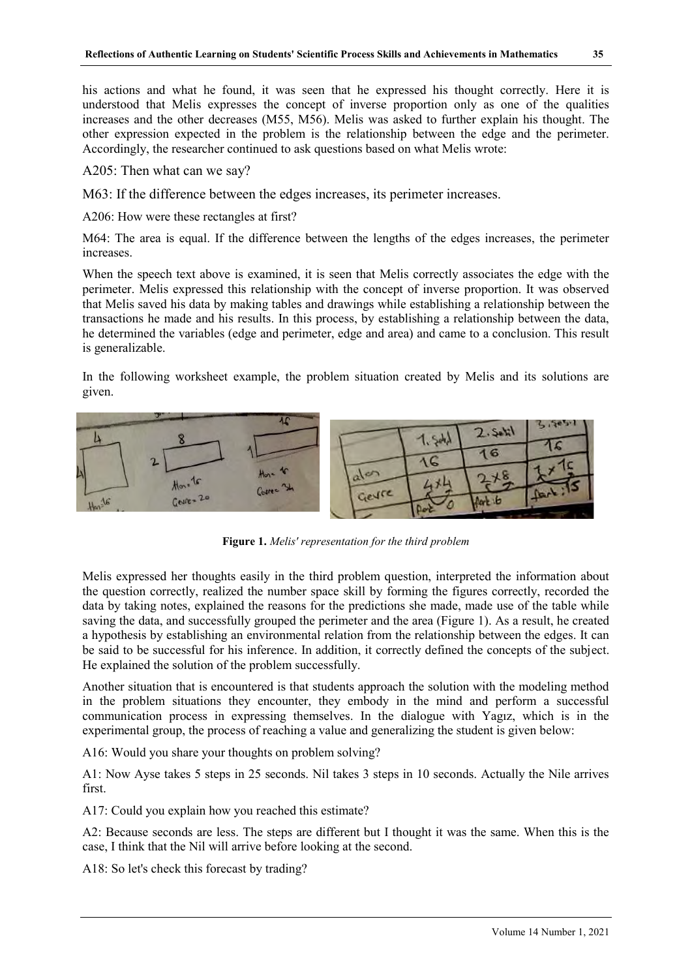his actions and what he found, it was seen that he expressed his thought correctly. Here it is understood that Melis expresses the concept of inverse proportion only as one of the qualities increases and the other decreases (M55, M56). Melis was asked to further explain his thought. The other expression expected in the problem is the relationship between the edge and the perimeter. Accordingly, the researcher continued to ask questions based on what Melis wrote:

A205: Then what can we say?

M63: If the difference between the edges increases, its perimeter increases.

A206: How were these rectangles at first?

M64: The area is equal. If the difference between the lengths of the edges increases, the perimeter increases.

When the speech text above is examined, it is seen that Melis correctly associates the edge with the perimeter. Melis expressed this relationship with the concept of inverse proportion. It was observed that Melis saved his data by making tables and drawings while establishing a relationship between the transactions he made and his results. In this process, by establishing a relationship between the data, he determined the variables (edge and perimeter, edge and area) and came to a conclusion. This result is generalizable.

In the following worksheet example, the problem situation created by Melis and its solutions are given.



**Figure 1.** *Melis' representation for the third problem*

Melis expressed her thoughts easily in the third problem question, interpreted the information about the question correctly, realized the number space skill by forming the figures correctly, recorded the data by taking notes, explained the reasons for the predictions she made, made use of the table while saving the data, and successfully grouped the perimeter and the area (Figure 1). As a result, he created a hypothesis by establishing an environmental relation from the relationship between the edges. It can be said to be successful for his inference. In addition, it correctly defined the concepts of the subject. He explained the solution of the problem successfully.

Another situation that is encountered is that students approach the solution with the modeling method in the problem situations they encounter, they embody in the mind and perform a successful communication process in expressing themselves. In the dialogue with Yagız, which is in the experimental group, the process of reaching a value and generalizing the student is given below:

A16: Would you share your thoughts on problem solving?

A1: Now Ayse takes 5 steps in 25 seconds. Nil takes 3 steps in 10 seconds. Actually the Nile arrives first.

A17: Could you explain how you reached this estimate?

A2: Because seconds are less. The steps are different but I thought it was the same. When this is the case, I think that the Nil will arrive before looking at the second.

A18: So let's check this forecast by trading?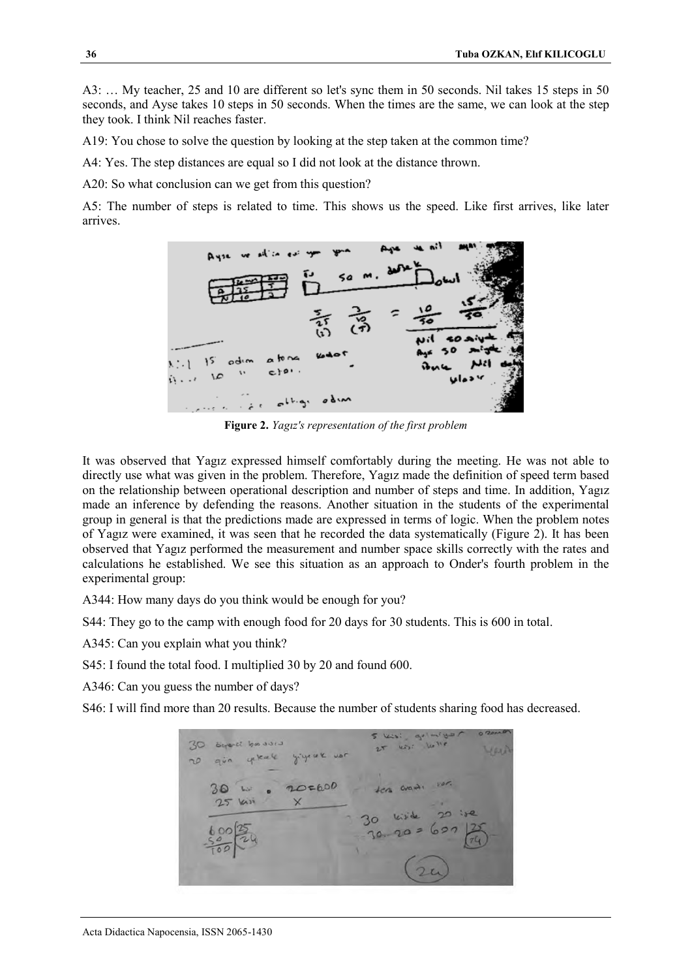A3: … My teacher, 25 and 10 are different so let's sync them in 50 seconds. Nil takes 15 steps in 50 seconds, and Ayse takes 10 steps in 50 seconds. When the times are the same, we can look at the step they took. I think Nil reaches faster.

A19: You chose to solve the question by looking at the step taken at the common time?

A4: Yes. The step distances are equal so I did not look at the distance thrown.

A20: So what conclusion can we get from this question?

A5: The number of steps is related to time. This shows us the speed. Like first arrives, like later arrives.



**Figure 2.** *Yagız's representation of the first problem*

It was observed that Yagız expressed himself comfortably during the meeting. He was not able to directly use what was given in the problem. Therefore, Yagız made the definition of speed term based on the relationship between operational description and number of steps and time. In addition, Yagız made an inference by defending the reasons. Another situation in the students of the experimental group in general is that the predictions made are expressed in terms of logic. When the problem notes of Yagız were examined, it was seen that he recorded the data systematically (Figure 2). It has been observed that Yagız performed the measurement and number space skills correctly with the rates and calculations he established. We see this situation as an approach to Onder's fourth problem in the experimental group:

A344: How many days do you think would be enough for you?

S44: They go to the camp with enough food for 20 days for 30 students. This is 600 in total.

A345: Can you explain what you think?

S45: I found the total food. I multiplied 30 by 20 and found 600.

A346: Can you guess the number of days?

S46: I will find more than 20 results. Because the number of students sharing food has decreased.

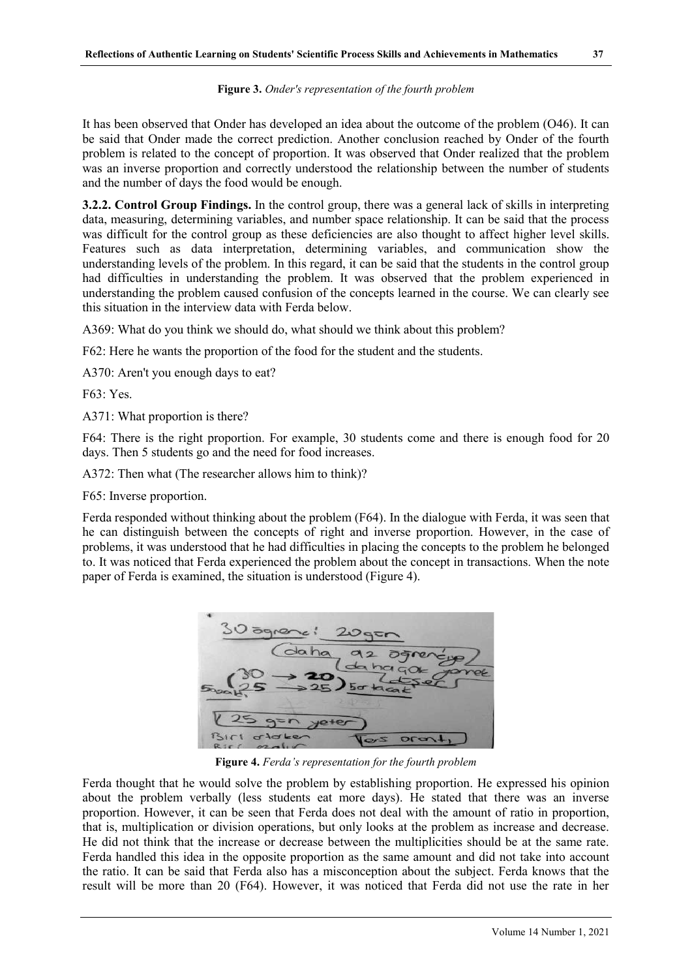It has been observed that Onder has developed an idea about the outcome of the problem (O46). It can be said that Onder made the correct prediction. Another conclusion reached by Onder of the fourth problem is related to the concept of proportion. It was observed that Onder realized that the problem was an inverse proportion and correctly understood the relationship between the number of students and the number of days the food would be enough.

**3.2.2. Control Group Findings.** In the control group, there was a general lack of skills in interpreting data, measuring, determining variables, and number space relationship. It can be said that the process was difficult for the control group as these deficiencies are also thought to affect higher level skills. Features such as data interpretation, determining variables, and communication show the understanding levels of the problem. In this regard, it can be said that the students in the control group had difficulties in understanding the problem. It was observed that the problem experienced in understanding the problem caused confusion of the concepts learned in the course. We can clearly see this situation in the interview data with Ferda below.

A369: What do you think we should do, what should we think about this problem?

F62: Here he wants the proportion of the food for the student and the students.

A370: Aren't you enough days to eat?

F63: Yes.

A371: What proportion is there?

F64: There is the right proportion. For example, 30 students come and there is enough food for 20 days. Then 5 students go and the need for food increases.

A372: Then what (The researcher allows him to think)?

F65: Inverse proportion.

Ferda responded without thinking about the problem (F64). In the dialogue with Ferda, it was seen that he can distinguish between the concepts of right and inverse proportion. However, in the case of problems, it was understood that he had difficulties in placing the concepts to the problem he belonged to. It was noticed that Ferda experienced the problem about the concept in transactions. When the note paper of Ferda is examined, the situation is understood (Figure 4).



**Figure 4.** *Ferda's representation for the fourth problem*

Ferda thought that he would solve the problem by establishing proportion. He expressed his opinion about the problem verbally (less students eat more days). He stated that there was an inverse proportion. However, it can be seen that Ferda does not deal with the amount of ratio in proportion, that is, multiplication or division operations, but only looks at the problem as increase and decrease. He did not think that the increase or decrease between the multiplicities should be at the same rate. Ferda handled this idea in the opposite proportion as the same amount and did not take into account the ratio. It can be said that Ferda also has a misconception about the subject. Ferda knows that the result will be more than 20 (F64). However, it was noticed that Ferda did not use the rate in her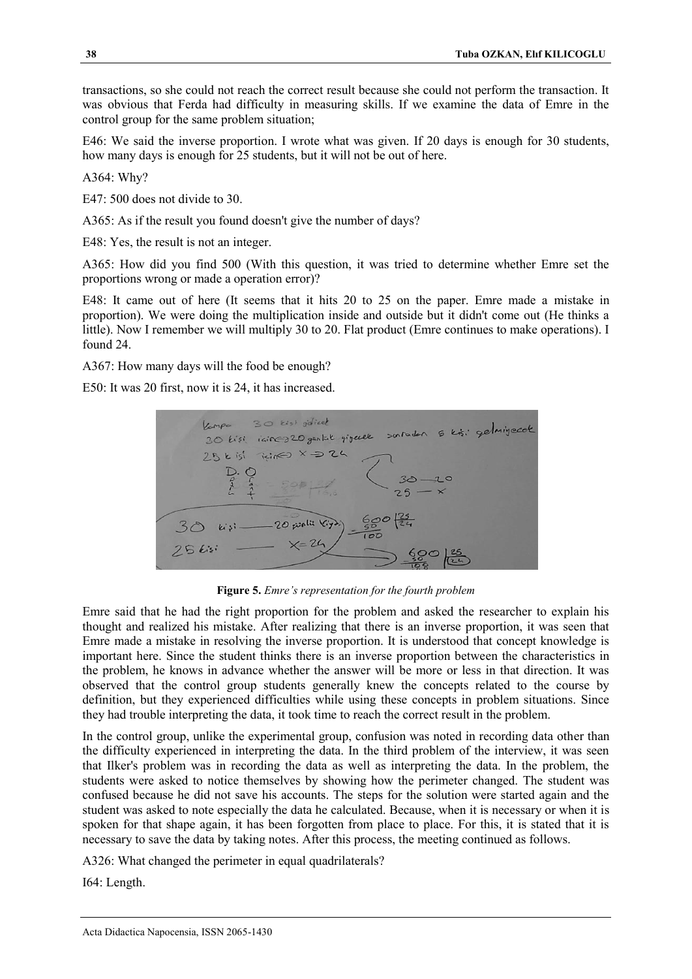transactions, so she could not reach the correct result because she could not perform the transaction. It was obvious that Ferda had difficulty in measuring skills. If we examine the data of Emre in the control group for the same problem situation;

E46: We said the inverse proportion. I wrote what was given. If 20 days is enough for 30 students, how many days is enough for 25 students, but it will not be out of here.

A364: Why?

E47: 500 does not divide to 30.

A365: As if the result you found doesn't give the number of days?

E48: Yes, the result is not an integer.

A365: How did you find 500 (With this question, it was tried to determine whether Emre set the proportions wrong or made a operation error)?

E48: It came out of here (It seems that it hits 20 to 25 on the paper. Emre made a mistake in proportion). We were doing the multiplication inside and outside but it didn't come out (He thinks a little). Now I remember we will multiply 30 to 20. Flat product (Emre continues to make operations). I found 24.

A367: How many days will the food be enough?

E50: It was 20 first, now it is 24, it has increased.



**Figure 5.** *Emre's representation for the fourth problem*

Emre said that he had the right proportion for the problem and asked the researcher to explain his thought and realized his mistake. After realizing that there is an inverse proportion, it was seen that Emre made a mistake in resolving the inverse proportion. It is understood that concept knowledge is important here. Since the student thinks there is an inverse proportion between the characteristics in the problem, he knows in advance whether the answer will be more or less in that direction. It was observed that the control group students generally knew the concepts related to the course by definition, but they experienced difficulties while using these concepts in problem situations. Since they had trouble interpreting the data, it took time to reach the correct result in the problem.

In the control group, unlike the experimental group, confusion was noted in recording data other than the difficulty experienced in interpreting the data. In the third problem of the interview, it was seen that Ilker's problem was in recording the data as well as interpreting the data. In the problem, the students were asked to notice themselves by showing how the perimeter changed. The student was confused because he did not save his accounts. The steps for the solution were started again and the student was asked to note especially the data he calculated. Because, when it is necessary or when it is spoken for that shape again, it has been forgotten from place to place. For this, it is stated that it is necessary to save the data by taking notes. After this process, the meeting continued as follows.

A326: What changed the perimeter in equal quadrilaterals?

I64: Length.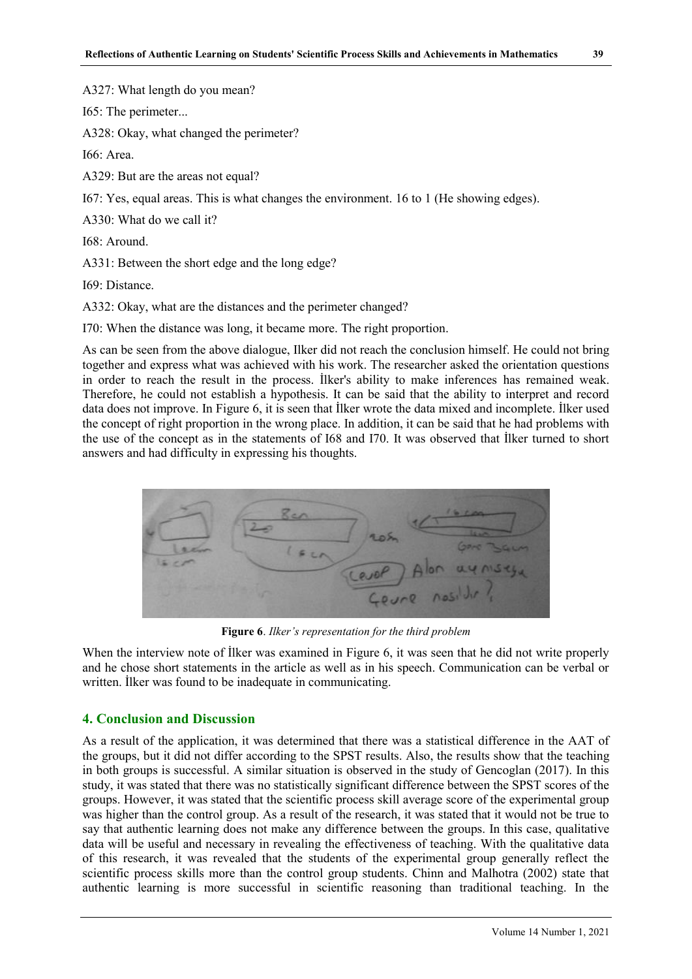A327: What length do you mean?

I65: The perimeter...

A328: Okay, what changed the perimeter?

I66: Area.

A329: But are the areas not equal?

I67: Yes, equal areas. This is what changes the environment. 16 to 1 (He showing edges).

A330: What do we call it?

I68: Around.

A331: Between the short edge and the long edge?

I69: Distance.

A332: Okay, what are the distances and the perimeter changed?

I70: When the distance was long, it became more. The right proportion.

As can be seen from the above dialogue, Ilker did not reach the conclusion himself. He could not bring together and express what was achieved with his work. The researcher asked the orientation questions in order to reach the result in the process. İlker's ability to make inferences has remained weak. Therefore, he could not establish a hypothesis. It can be said that the ability to interpret and record data does not improve. In Figure 6, it is seen that İlker wrote the data mixed and incomplete. İlker used the concept of right proportion in the wrong place. In addition, it can be said that he had problems with the use of the concept as in the statements of I68 and I70. It was observed that İlker turned to short answers and had difficulty in expressing his thoughts.



**Figure 6**. *Ilker's representation for the third problem*

When the interview note of Ilker was examined in Figure 6, it was seen that he did not write properly and he chose short statements in the article as well as in his speech. Communication can be verbal or written. İlker was found to be inadequate in communicating.

## **4. Conclusion and Discussion**

As a result of the application, it was determined that there was a statistical difference in the AAT of the groups, but it did not differ according to the SPST results. Also, the results show that the teaching in both groups is successful. A similar situation is observed in the study of Gencoglan (2017). In this study, it was stated that there was no statistically significant difference between the SPST scores of the groups. However, it was stated that the scientific process skill average score of the experimental group was higher than the control group. As a result of the research, it was stated that it would not be true to say that authentic learning does not make any difference between the groups. In this case, qualitative data will be useful and necessary in revealing the effectiveness of teaching. With the qualitative data of this research, it was revealed that the students of the experimental group generally reflect the scientific process skills more than the control group students. Chinn and Malhotra (2002) state that authentic learning is more successful in scientific reasoning than traditional teaching. In the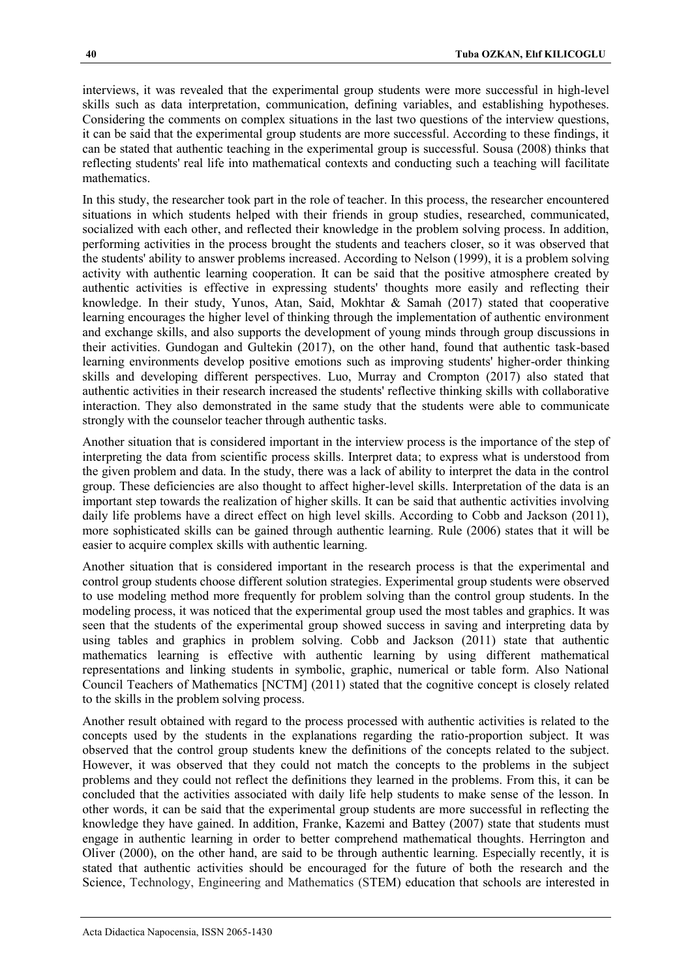interviews, it was revealed that the experimental group students were more successful in high-level skills such as data interpretation, communication, defining variables, and establishing hypotheses. Considering the comments on complex situations in the last two questions of the interview questions, it can be said that the experimental group students are more successful. According to these findings, it can be stated that authentic teaching in the experimental group is successful. Sousa (2008) thinks that reflecting students' real life into mathematical contexts and conducting such a teaching will facilitate mathematics.

In this study, the researcher took part in the role of teacher. In this process, the researcher encountered situations in which students helped with their friends in group studies, researched, communicated, socialized with each other, and reflected their knowledge in the problem solving process. In addition, performing activities in the process brought the students and teachers closer, so it was observed that the students' ability to answer problems increased. According to Nelson (1999), it is a problem solving activity with authentic learning cooperation. It can be said that the positive atmosphere created by authentic activities is effective in expressing students' thoughts more easily and reflecting their knowledge. In their study, Yunos, Atan, Said, Mokhtar & Samah (2017) stated that cooperative learning encourages the higher level of thinking through the implementation of authentic environment and exchange skills, and also supports the development of young minds through group discussions in their activities. Gundogan and Gultekin (2017), on the other hand, found that authentic task-based learning environments develop positive emotions such as improving students' higher-order thinking skills and developing different perspectives. Luo, Murray and Crompton (2017) also stated that authentic activities in their research increased the students' reflective thinking skills with collaborative interaction. They also demonstrated in the same study that the students were able to communicate strongly with the counselor teacher through authentic tasks.

Another situation that is considered important in the interview process is the importance of the step of interpreting the data from scientific process skills. Interpret data; to express what is understood from the given problem and data. In the study, there was a lack of ability to interpret the data in the control group. These deficiencies are also thought to affect higher-level skills. Interpretation of the data is an important step towards the realization of higher skills. It can be said that authentic activities involving daily life problems have a direct effect on high level skills. According to Cobb and Jackson (2011), more sophisticated skills can be gained through authentic learning. Rule (2006) states that it will be easier to acquire complex skills with authentic learning.

Another situation that is considered important in the research process is that the experimental and control group students choose different solution strategies. Experimental group students were observed to use modeling method more frequently for problem solving than the control group students. In the modeling process, it was noticed that the experimental group used the most tables and graphics. It was seen that the students of the experimental group showed success in saving and interpreting data by using tables and graphics in problem solving. Cobb and Jackson (2011) state that authentic mathematics learning is effective with authentic learning by using different mathematical representations and linking students in symbolic, graphic, numerical or table form. Also National Council Teachers of Mathematics [NCTM] (2011) stated that the cognitive concept is closely related to the skills in the problem solving process.

Another result obtained with regard to the process processed with authentic activities is related to the concepts used by the students in the explanations regarding the ratio-proportion subject. It was observed that the control group students knew the definitions of the concepts related to the subject. However, it was observed that they could not match the concepts to the problems in the subject problems and they could not reflect the definitions they learned in the problems. From this, it can be concluded that the activities associated with daily life help students to make sense of the lesson. In other words, it can be said that the experimental group students are more successful in reflecting the knowledge they have gained. In addition, Franke, Kazemi and Battey (2007) state that students must engage in authentic learning in order to better comprehend mathematical thoughts. Herrington and Oliver (2000), on the other hand, are said to be through authentic learning. Especially recently, it is stated that authentic activities should be encouraged for the future of both the research and the Science, Technology, Engineering and Mathematics (STEM) education that schools are interested in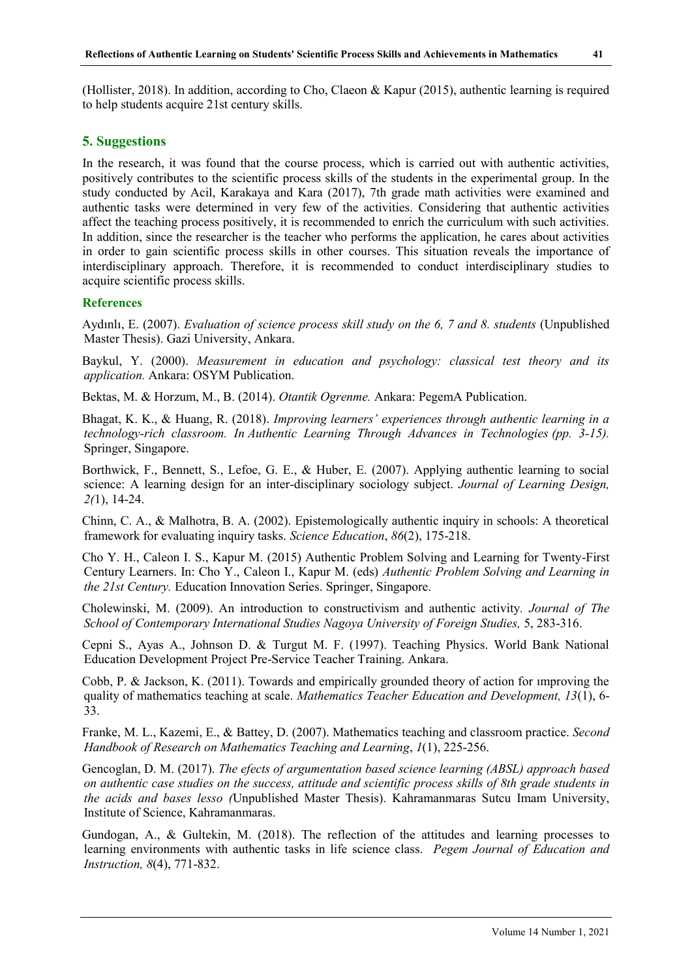(Hollister, 2018). In addition, according to Cho, Claeon & Kapur (2015), authentic learning is required to help students acquire 21st century skills.

# **5. Suggestions**

In the research, it was found that the course process, which is carried out with authentic activities, positively contributes to the scientific process skills of the students in the experimental group. In the study conducted by Acil, Karakaya and Kara (2017), 7th grade math activities were examined and authentic tasks were determined in very few of the activities. Considering that authentic activities affect the teaching process positively, it is recommended to enrich the curriculum with such activities. In addition, since the researcher is the teacher who performs the application, he cares about activities in order to gain scientific process skills in other courses. This situation reveals the importance of interdisciplinary approach. Therefore, it is recommended to conduct interdisciplinary studies to acquire scientific process skills.

## **References**

Aydınlı, E. (2007). *Evaluation of science process skill study on the 6, 7 and 8. students* (Unpublished Master Thesis). Gazi University, Ankara.

Baykul, Y. (2000). *Measurement in education and psychology: classical test theory and its application.* Ankara: OSYM Publication.

Bektas, M. & Horzum, M., B. (2014). *Otantik Ogrenme.* Ankara: PegemA Publication.

Bhagat, K. K., & Huang, R. (2018). *Improving learners' experiences through authentic learning in a technology-rich classroom. In Authentic Learning Through Advances in Technologies (pp. 3-15).*  Springer, Singapore.

Borthwick, F., Bennett, S., Lefoe, G. E., & Huber, E. (2007). Applying authentic learning to social science: A learning design for an inter-disciplinary sociology subject. *Journal of Learning Design, 2(*1), 14-24.

Chinn, C. A., & Malhotra, B. A. (2002). Epistemologically authentic inquiry in schools: A theoretical framework for evaluating inquiry tasks. *Science Education*, *86*(2), 175-218.

Cho Y. H., Caleon I. S., Kapur M. (2015) Authentic Problem Solving and Learning for Twenty-First Century Learners. In: Cho Y., Caleon I., Kapur M. (eds) *Authentic Problem Solving and Learning in the 21st Century.* Education Innovation Series. Springer, Singapore.

Cholewinski, M. (2009). An introduction to constructivism and authentic activity*. Journal of The School of Contemporary International Studies Nagoya University of Foreign Studies,* 5, 283-316.

Cepni S., Ayas A., Johnson D. & Turgut M. F. (1997). Teaching Physics. World Bank National Education Development Project Pre-Service Teacher Training. Ankara.

Cobb, P. & Jackson, K. (2011). Towards and empirically grounded theory of action for ımproving the quality of mathematics teaching at scale. *Mathematics Teacher Education and Development, 13*(1), 6- 33.

Franke, M. L., Kazemi, E., & Battey, D. (2007). Mathematics teaching and classroom practice. *Second Handbook of Research on Mathematics Teaching and Learning*, *1*(1), 225-256.

Gencoglan, D. M. (2017). *The efects of argumentation based science learning (ABSL) approach based on authentic case studies on the success, attitude and scientific process skills of 8th grade students in the acids and bases lesso (*Unpublished Master Thesis). Kahramanmaras Sutcu Imam University, Institute of Science, Kahramanmaras.

Gundogan, A., & Gultekin, M. (2018). The reflection of the attitudes and learning processes to learning environments with authentic tasks in life science class. *Pegem Journal of Education and Instruction, 8*(4), 771-832.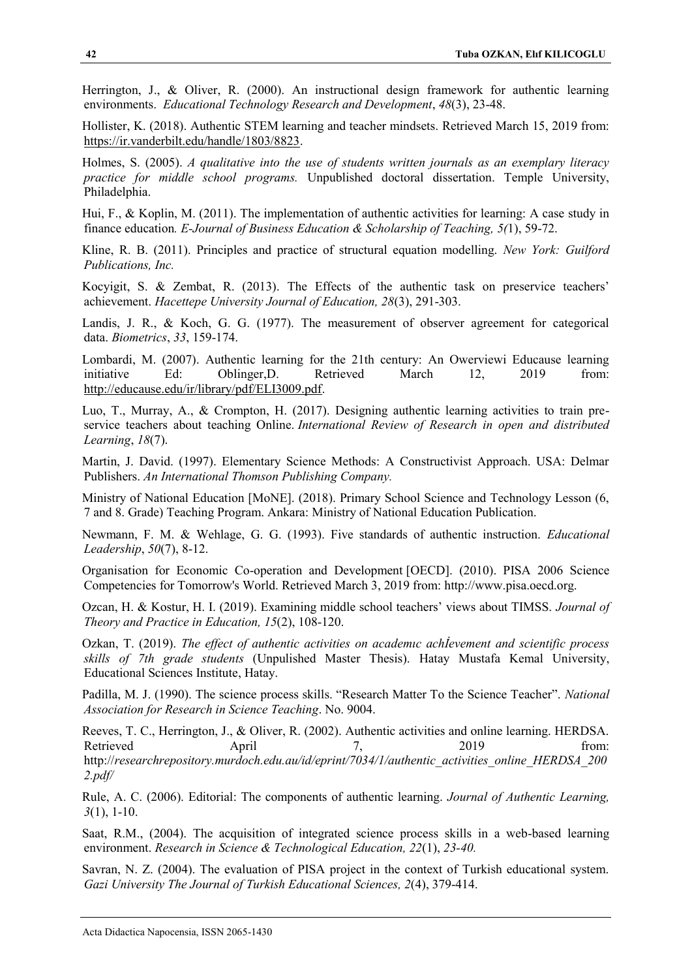Herrington, J., & Oliver, R. (2000). An instructional design framework for authentic learning environments. *Educational Technology Research and Development*, *48*(3), 23-48.

Hollister, K. (2018). Authentic STEM learning and teacher mindsets. Retrieved March 15, 2019 from: [https://ir.vanderbilt.edu/handle/1803/8823.](https://ir.vanderbilt.edu/handle/1803/8823)

Holmes, S. (2005). *A qualitative into the use of students written journals as an exemplary literacy practice for middle school programs.* Unpublished doctoral dissertation. Temple University, Philadelphia.

Hui, F., & Koplin, M. (2011). The implementation of authentic activities for learning: A case study in finance education*. E-Journal of Business Education & Scholarship of Teaching, 5(*1), 59-72.

Kline, R. B. (2011). Principles and practice of structural equation modelling. *New York: Guilford Publications, Inc.*

Kocyigit, S. & Zembat, R. (2013). The Effects of the authentic task on preservice teachers' achievement. *Hacettepe University Journal of Education, 28*(3), 291-303.

Landis, J. R., & Koch, G. G. (1977). The measurement of observer agreement for categorical data. *Biometrics*, *33*, 159-174.

Lombardi, M. (2007). Authentic learning for the 21th century: An Owerviewi Educause learning initiative Ed: Oblinger, D. Retrieved March 12, 2019 from: [http://educause.edu/ir/library/pdf/ELI3009.pdf.](http://educause.edu/ir/library/pdf/ELI3009.pdf)

Luo, T., Murray, A., & Crompton, H. (2017). Designing authentic learning activities to train preservice teachers about teaching Online. *International Review of Research in open and distributed Learning*, *18*(7).

Martin, J. David. (1997). Elementary Science Methods: A Constructivist Approach. USA: Delmar Publishers. *An International Thomson Publishing Company.*

Ministry of National Education [MoNE]. (2018). Primary School Science and Technology Lesson (6, 7 and 8. Grade) Teaching Program. Ankara: Ministry of National Education Publication.

Newmann, F. M. & Wehlage, G. G. (1993). Five standards of authentic instruction. *Educational Leadership*, *50*(7), 8-12.

Organisation for Economic Co-operation and Development [OECD]. (2010). PISA 2006 Science Competencies for Tomorrow's World. Retrieved March 3, 2019 from: http://www.pisa.oecd.org.

Ozcan, H. & Kostur, H. I. (2019). Examining middle school teachers' views about TIMSS. *Journal of Theory and Practice in Education, 15*(2), 108-120.

Ozkan, T. (2019). *The effect of authentic activities on academıc achİevement and scientific process skills of 7th grade students* (Unpulished Master Thesis). Hatay Mustafa Kemal University, Educational Sciences Institute, Hatay.

Padilla, M. J. (1990). The science process skills. "Research Matter To the Science Teacher". *National Association for Research in Science Teaching*. No. 9004.

Reeves, T. C., Herrington, J., & Oliver, R. (2002). Authentic activities and online learning. HERDSA. Retrieved April 7, 2019 from: http://*researchrepository.murdoch.edu.au/id/eprint/7034/1/authentic\_activities\_online\_HERDSA\_200 2.pdf/*

Rule, A. C. (2006). Editorial: The components of authentic learning. *Journal of Authentic Learning, 3*(1), 1-10.

Saat, R.M., (2004). The acquisition of integrated science process skills in a web-based learning environment. *Research in Science & Technological Education, 22*(1), *23-40.* 

Savran, N. Z. (2004). The evaluation of PISA project in the context of Turkish educational system. *Gazi University The Journal of Turkish Educational Sciences, 2*(4), 379-414.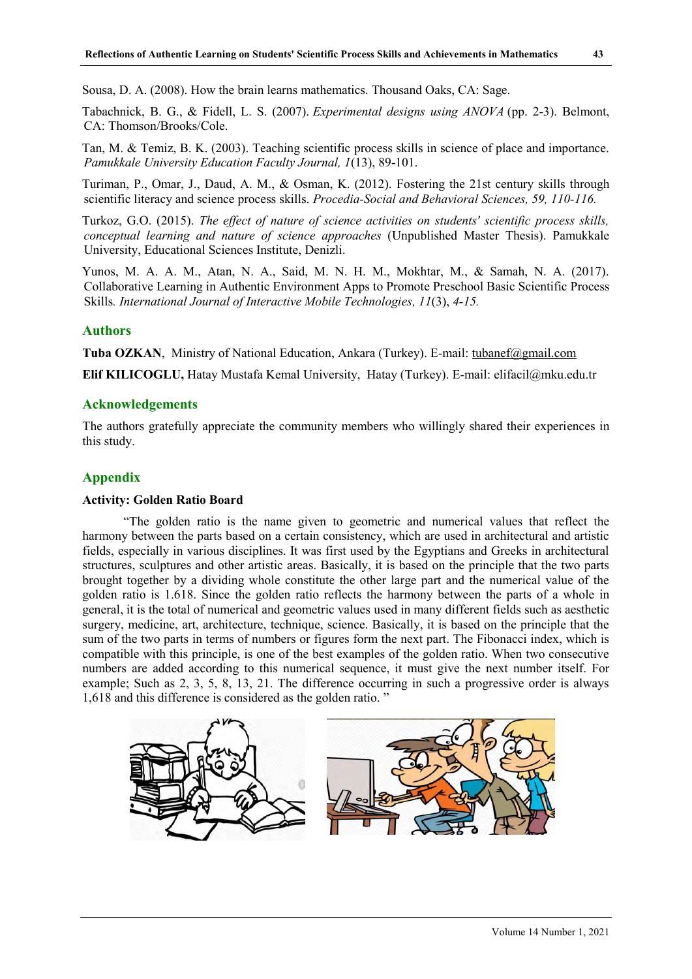Sousa, D. A. (2008). How the brain learns mathematics. Thousand Oaks, CA: Sage.

Tabachnick, B. G., & Fidell, L. S. (2007). *Experimental designs using ANOVA* (pp. 2-3). Belmont, CA: Thomson/Brooks/Cole.

Tan, M. & Temiz, B. K. (2003). Teaching scientific process skills in science of place and importance. *Pamukkale University Education Faculty Journal, 1*(13), 89-101.

Turiman, P., Omar, J., Daud, A. M., & Osman, K. (2012). Fostering the 21st century skills through scientific literacy and science process skills. *Procedia-Social and Behavioral Sciences, 59, 110-116.* 

Turkoz, G.O. (2015). *The effect of nature of science activities on students' scientific process skills, conceptual learning and nature of science approaches* (Unpublished Master Thesis). Pamukkale University, Educational Sciences Institute, Denizli.

Yunos, M. A. A. M., Atan, N. A., Said, M. N. H. M., Mokhtar, M., & Samah, N. A. (2017). Collaborative Learning in Authentic Environment Apps to Promote Preschool Basic Scientific Process Skills*. International Journal of Interactive Mobile Technologies, 11*(3), *4-15.* 

#### **Authors**

**Tuba OZKAN**, Ministry of National Education, Ankara (Turkey). E-mail: [tubanef@gmail.com](mailto:tubanef@gmail.com)

**Elif KILICOGLU,** Hatay Mustafa Kemal University, Hatay (Turkey). E-mail: elifacil@mku.edu.tr

## **Acknowledgements**

The authors gratefully appreciate the community members who willingly shared their experiences in this study.

## **Appendix**

#### **Activity: Golden Ratio Board**

"The golden ratio is the name given to geometric and numerical values that reflect the harmony between the parts based on a certain consistency, which are used in architectural and artistic fields, especially in various disciplines. It was first used by the Egyptians and Greeks in architectural structures, sculptures and other artistic areas. Basically, it is based on the principle that the two parts brought together by a dividing whole constitute the other large part and the numerical value of the golden ratio is 1.618. Since the golden ratio reflects the harmony between the parts of a whole in general, it is the total of numerical and geometric values used in many different fields such as aesthetic surgery, medicine, art, architecture, technique, science. Basically, it is based on the principle that the sum of the two parts in terms of numbers or figures form the next part. The Fibonacci index, which is compatible with this principle, is one of the best examples of the golden ratio. When two consecutive numbers are added according to this numerical sequence, it must give the next number itself. For example; Such as 2, 3, 5, 8, 13, 21. The difference occurring in such a progressive order is always 1,618 and this difference is considered as the golden ratio. "